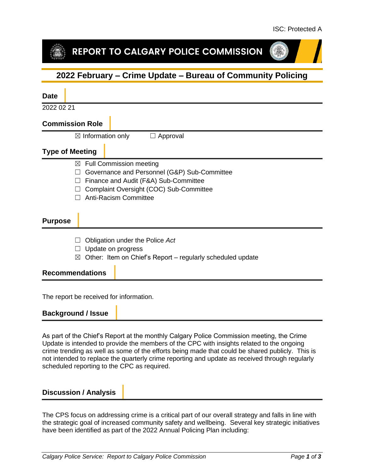# REPORT TO CALGARY POLICE COMMISSION

## **2022 February – Crime Update – Bureau of Community Policing**

| <b>Date</b>                                                                                                                                                                                                                         |
|-------------------------------------------------------------------------------------------------------------------------------------------------------------------------------------------------------------------------------------|
| 2022 02 21                                                                                                                                                                                                                          |
| <b>Commission Role</b>                                                                                                                                                                                                              |
| $\boxtimes$ Information only<br>Approval<br>$\mathbf{L}$                                                                                                                                                                            |
| <b>Type of Meeting</b>                                                                                                                                                                                                              |
| <b>Full Commission meeting</b><br>$\boxtimes$<br>Governance and Personnel (G&P) Sub-Committee<br>Finance and Audit (F&A) Sub-Committee<br>Complaint Oversight (COC) Sub-Committee<br><b>Anti-Racism Committee</b><br><b>Purpose</b> |
| Obligation under the Police Act<br>Update on progress<br>Other: Item on Chief's Report – regularly scheduled update<br>$\boxtimes$                                                                                                  |
| <b>Recommendations</b>                                                                                                                                                                                                              |
|                                                                                                                                                                                                                                     |

The report be received for information.

#### **Background / Issue**

As part of the Chief's Report at the monthly Calgary Police Commission meeting, the Crime Update is intended to provide the members of the CPC with insights related to the ongoing crime trending as well as some of the efforts being made that could be shared publicly. This is not intended to replace the quarterly crime reporting and update as received through regularly scheduled reporting to the CPC as required.

#### **Discussion / Analysis**

The CPS focus on addressing crime is a critical part of our overall strategy and falls in line with the strategic goal of increased community safety and wellbeing. Several key strategic initiatives have been identified as part of the 2022 Annual Policing Plan including: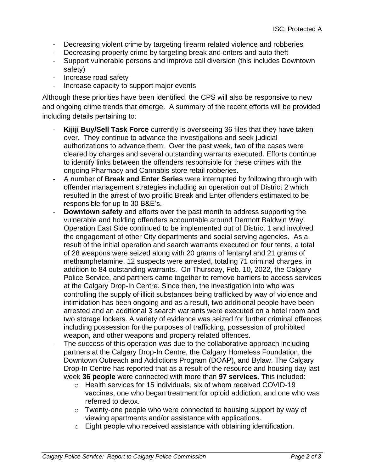- Decreasing violent crime by targeting firearm related violence and robberies
- Decreasing property crime by targeting break and enters and auto theft
- Support vulnerable persons and improve call diversion (this includes Downtown safety)
- Increase road safety
- Increase capacity to support major events

Although these priorities have been identified, the CPS will also be responsive to new and ongoing crime trends that emerge. A summary of the recent efforts will be provided including details pertaining to:

- **Kijiji Buy/Sell Task Force** currently is overseeing 36 files that they have taken over. They continue to advance the investigations and seek judicial authorizations to advance them. Over the past week, two of the cases were cleared by charges and several outstanding warrants executed. Efforts continue to identify links between the offenders responsible for these crimes with the ongoing Pharmacy and Cannabis store retail robberies.
- A number of **Break and Enter Series** were interrupted by following through with offender management strategies including an operation out of District 2 which resulted in the arrest of two prolific Break and Enter offenders estimated to be responsible for up to 30 B&E's.
- **Downtown safety** and efforts over the past month to address supporting the vulnerable and holding offenders accountable around Dermott Baldwin Way. Operation East Side continued to be implemented out of District 1 and involved the engagement of other City departments and social serving agencies. As a result of the initial operation and search warrants executed on four tents, a total of 28 weapons were seized along with 20 grams of fentanyl and 21 grams of methamphetamine. 12 suspects were arrested, totaling 71 criminal charges, in addition to 84 outstanding warrants. On Thursday, Feb. 10, 2022, the Calgary Police Service, and partners came together to remove barriers to access services at the Calgary Drop-In Centre. Since then, the investigation into who was controlling the supply of illicit substances being trafficked by way of violence and intimidation has been ongoing and as a result, two additional people have been arrested and an additional 3 search warrants were executed on a hotel room and two storage lockers. A variety of evidence was seized for further criminal offences including possession for the purposes of trafficking, possession of prohibited weapon, and other weapons and property related offences.
- The success of this operation was due to the collaborative approach including partners at the Calgary Drop-In Centre, the Calgary Homeless Foundation, the Downtown Outreach and Addictions Program (DOAP), and Bylaw. The Calgary Drop-In Centre has reported that as a result of the resource and housing day last week **36 people** were connected with more than **97 services**. This included:
	- o Health services for 15 individuals, six of whom received COVID-19 vaccines, one who began treatment for opioid addiction, and one who was referred to detox.
	- o Twenty-one people who were connected to housing support by way of viewing apartments and/or assistance with applications.
	- o Eight people who received assistance with obtaining identification.